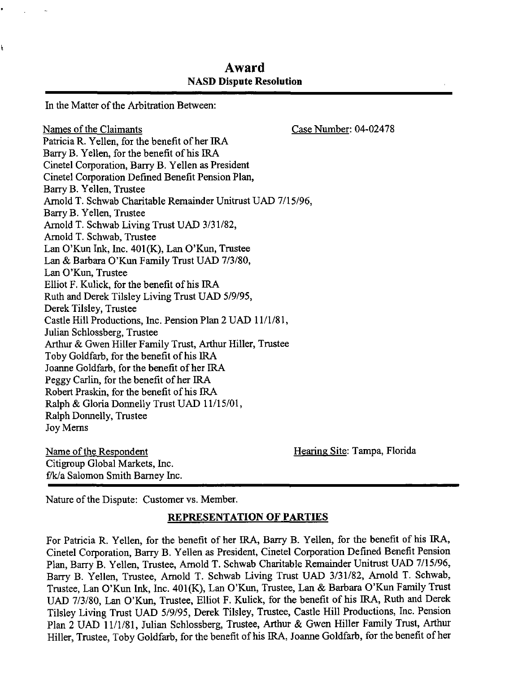# Award NASD Dispute Resolution

In the Matter of the Arbitration Between:

į

Names of the Claimants Case Number: 04-02478 Patricia R. Yellen, for the benefit of her IRA Barry B. Yellen, for the benefit of his IRA Cinetel Corporation, Barry B. Yellen as President Cinetel Corporation Defined Benefit Pension Plan, Barry B. Yellen, Trustee Arnold T. Schwab Charitable Remainder Unitrust UAD 7/15/96, Barry B. Yellen, Trustee Arnold T. Schwab Living Trust UAD 3/31/82, Arnold T. Schwab, Trustee Lan O'Kun Ink, Inc. 401(K), Lan O'Kun, Trustee Lan & Barbara O'Kun Family Trust UAD 7/3/80, Lan O'Kun, Trustee Elliot F. Kulick, for the benefit of his IRA Ruth and Derek Tilsley Living Trust UAD 5/9/95, Derek Tilsley, Trustee Castle Hill Productions, Inc. Pension Plan 2 UAD 11/1/81, Julian Schlossberg, Trustee Arthur & Gwen Hiller Family Trust, Arthur Hiller, Trustee Toby Goldfarb, for the benefit of his IRA Joanne Goldfarb, for the benefit of her IRA Peggy Carlin, for the benefit of her IRA Robert Praskin, for the benefit of his IRA Ralph & Gloria Donnelly Trust UAD 11/15/01, Ralph Donnelly, Trustee Joy Merns

Name of the Respondent Name of the Respondent Hearing Site: Tampa, Florida Citigroup Global Markets, Inc. f/k/a Salomon Smith Barney Inc.

Nature of the Dispute: Customer vs. Member.

#### REPRESENTATION OF PARTIES

For Patricia R. Yellen, for the benefit of her IRA, Barry B. Yellen, for the benefit of his IRA, Cinetel Corporation, Barry B. Yellen as President, Cinetel Corporation Defined Benefit Pension Plan, Barry B. Yellen, Trustee, Arnold T. Schwab Charitable Remainder Unitrust UAD 7/15/96, Barry B. Yellen, Trustee, Arnold T. Schwab Living Trust UAD 3/31/82, Arnold T. Schwab, Trustee, Lan O'Kun Ink, Inc. 401(K), Lan O'Kun, Trustee, Lan & Barbara O'Kun Family Trust UAD 7/3/80, Lan O'Kun, Trustee, Elliot F. Kulick, for the benefit of his IRA, Ruth and Derek Tilsley Living Trust UAD 5/9/95, Derek Tilsley, Trustee, Castle Hill Productions, Inc. Pension Plan 2 UAD 11/1/81, Julian Schlossberg, Trustee, Arthur & Gwen Hiller Family Trust, Arthur Hiller, Trustee, Toby Goldfarb, for the benefit of his IRA, Joanne Goldfarb, for the benefit of her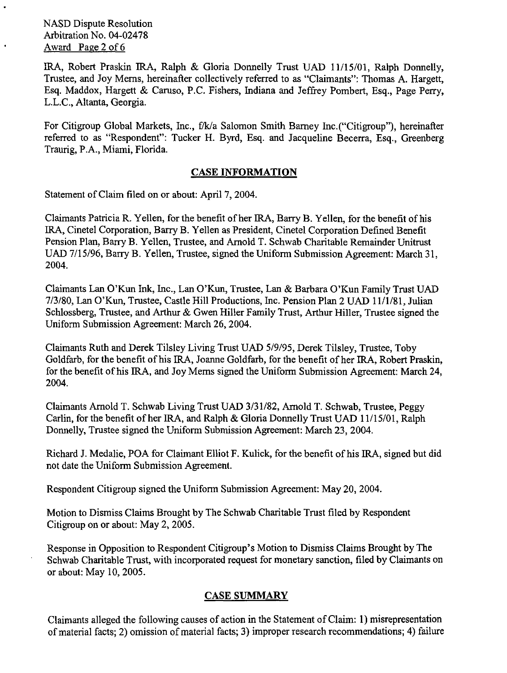NASD Dispute Resolution Arbitration No. 04-02478 Award Page 2 of 6

IRA, Robert Praskin IRA, Ralph & Gloria Donnelly Trust UAD 11/15/01, Ralph Donnelly, Trustee, and Joy Mems, hereinafter collectively referred to as "Claimants": Thomas A. Hargett, Esq. Maddox, Hargett & Caruso, P.C. Fishers, Indiana and Jeffrey Pombert, Esq., Page Perry, L.L.C., Altanta, Georgia.

For Citigroup Global Markets, Inc., f/k/a Salomon Smith Barney Inc.("Citigroup"), hereinafter referred to as "Respondent": Tucker H. Byrd, Esq. and Jacqueline Becerra, Esq., Greenberg Traurig, P.A., Miami, Florida.

## CASE INFORMATION

Statement of Claim filed on or about: April 7, 2004.

Claimants Patricia R. Yellen, for the benefit of her IRA, Barry B. Yellen, for the benefit of his IRA, Cinetel Corporation, Barry B. Yellen as President, Cinetel Corporation Defined Benefit Pension Plan, Barry B. Yellen, Trustee, and Arnold T. Schwab Charitable Remainder Unitrust UAD 7/15/96, Barry B. Yellen, Trustee, signed the Uniform Submission Agreement: March 31, 2004.

Claimants Lan O'Kun Ink, Inc., Lan O'Kun, Trustee, Lan & Barbara O'Kun Family Trust UAD 7/3/80, Lan O'Kun, Trustee, Castle Hill Productions, Inc. Pension Plan 2 UAD 11/1/81, Julian Schlossberg, Trustee, and Arthur & Gwen Hiller Family Trust, Arthur Hiller, Trustee signed the Uniform Submission Agreement: March 26, 2004.

Claimants Ruth and Derek Tilsley Living Trust UAD 5/9/95, Derek Tilsley, Trustee, Toby Goldfarb, for the benefit of his IRA, Joanne Goldfarb, for the benefit of her IRA, Robert Praskin, for the benefit of his IRA, and Joy Merns signed the Uniform Submission Agreement: March 24, 2004.

Claimants Arnold T. Schwab Living Trust UAD 3/31/82, Arnold T. Schwab, Trustee, Peggy Carlin, for the benefit of her IRA, and Ralph & Gloria Donnelly Trust UAD 11/15/01, Ralph Donnelly, Trustee signed the Uniform Submission Agreement: March 23, 2004.

Richard J. Medalie, POA for Claimant Elliot F. Kulick, for the benefit of his IRA, signed but did not date the Uniform Submission Agreement.

Respondent Citigroup signed the Uniform Submission Agreement: May 20, 2004.

Motion to Dismiss Claims Brought by The Schwab Charitable Trust filed by Respondent Citigroup on or about: May 2, 2005.

Response in Opposition to Respondent Citigroup's Motion to Dismiss Claims Brought by The Schwab Charitable Trust, with incorporated request for monetary sanction, filed by Claimants on or about: May 10, 2005.

## CASE SUMMARY

Claimants alleged the following causes of action in the Statement of Claim: 1) misrepresentation of material facts; 2) omission of material facts; 3) improper research recommendations; 4) failure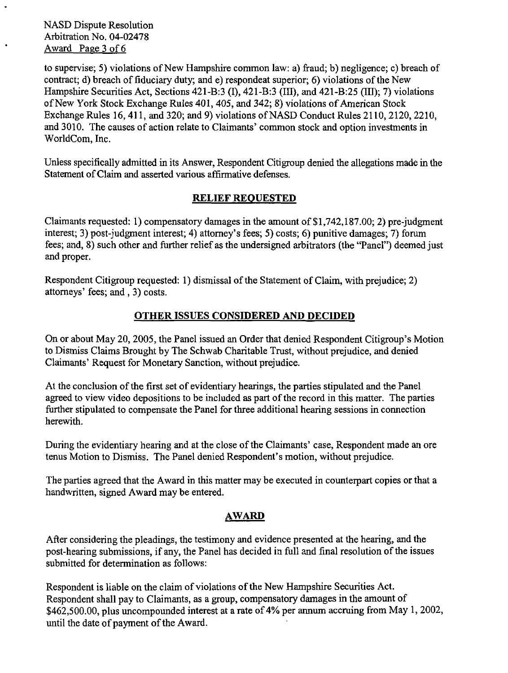NASD Dispute Resolution Arbitration No. 04-02478 Award Page 3 of 6

to supervise; 5) violations of New Hampshire common law: a) fraud; b) negligence; c) breach of contract; d) breach of fiduciary duty; and e) respondeat superior; 6) violations of the New Hampshire Securities Act, Sections 421-B:3 (I), 421-B:3 (III), and 421-B:25 (III); 7) violations of New York Stock Exchange Rules 401, 405, and 342; 8) violations of American Stock Exchange Rules 16, 411, and 320; and 9) violations of NASD Conduct Rules 2110, 2120, 2210, and 3010. The causes of action relate to Claimants' common stock and option investments in WorldCom, Inc.

Unless specifically admitted in its Answer, Respondent Citigroup denied the allegations made in the Statement of Claim and asserted various affirmative defenses.

## RELIEF REQUESTED

Claimants requested: 1) compensatory damages in the amount of \$1,742,187.00; 2) pre-judgment interest; 3) post-judgment interest; 4) attorney's fees; 5) costs; 6) punitive damages; 7) forum fees; and, 8) such other and further relief as the undersigned arbitrators (the "Panel") deemed just and proper.

Respondent Citigroup requested: 1) dismissal of the Statement of Claim, with prejudice; 2) attorneys' fees; and, 3) costs.

## OTHER ISSUES CONSIDERED AND DECIDED

On or about May 20, 2005, the Panel issued an Order that denied Respondent Citigroup's Motion to Dismiss Claims Brought by The Schwab Charitable Trust, without prejudice, and denied Claimants' Request for Monetary Sanction, without prejudice.

At the conclusion of the first set of evidentiary hearings, the parties stipulated and the Panel agreed to view video depositions to be included as part of the record in this matter. The parties further stipulated to compensate the Panel for three additional hearing sessions in connection herewith.

During the evidentiary hearing and at the close of the Claimants' case, Respondent made an ore tenus Motion to Dismiss. The Panel denied Respondent's motion, without prejudice.

The parties agreed that the Award in this matter may be executed in counterpart copies or that a handwritten, signed Award may be entered.

## AWARD

After considering the pleadings, the testimony and evidence presented at the hearing, and the post-hearing submissions, if any, the Panel has decided in full and final resolution of the issues submitted for determination as follows:

Respondent is liable on the claim of violations of the New Hampshire Securities Act. Respondent shall pay to Claimants, as a group, compensatory damages in the amount of \$462,500.00, plus uncompounded interest at a rate of 4% per annum accruing from May 1, 2002, until the date of payment of the Award.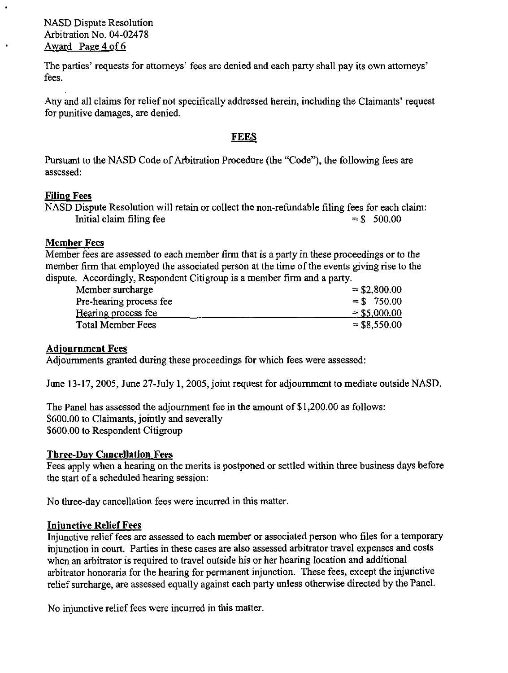NASD Dispute Resolution Arbitration No. 04-02478 Award Page 4 of 6

The parties' requests for attorneys' fees are denied and each party shall pay its own attorneys' fees.

Any and all claims for relief not specifically addressed herein, including the Claimants' request for punitive damages, are denied.

## FEES

Pursuant to the NASD Code of Arbitration Procedure (the "Code"), the following fees are assessed:

## Filing Fees

|                          | NASD Dispute Resolution will retain or collect the non-refundable filing fees for each claim: |               |  |
|--------------------------|-----------------------------------------------------------------------------------------------|---------------|--|
| Initial claim filing fee |                                                                                               | $=$ \$ 500.00 |  |

## Member Fees

Member fees are assessed to each member firm that is a party in these proceedings or to the member firm that employed the associated person at the time of the events giving rise to the dispute. Accordingly, Respondent Citigroup is a member firm and a party.

| Member surcharge        | $=$ \$2,800.00 |
|-------------------------|----------------|
| Pre-hearing process fee | $=$ \$750.00   |
| Hearing process fee     | $=$ \$5,000.00 |
| Total Member Fees       | $=$ \$8,550.00 |

## Adjournment Fees

Adjournments granted during these proceedings for which fees were assessed:

June 13-17, 2005, June 27-July 1, 2005, joint request for adjournment to mediate outside NASD.

The Panel has assessed the adjournment fee in the amount of \$1,200.00 as follows: \$600.00 to Claimants, jointly and severally \$600.00 to Respondent Citigroup

## Three-Day Cancellation Fees

Fees apply when a hearing on the merits is postponed or settled within three business days before the start of a scheduled hearing session:

No three-day cancellation fees were incurred in this matter.

## Iniunctive Relief Fees

Injunctive relief fees are assessed to each member or associated person who files for a temporary injunction in court. Parties in these cases are also assessed arbitrator travel expenses and costs when an arbitrator is required to travel outside his or her hearing location and additional arbitrator honoraria for the hearing for permanent injunction. These fees, except the injunctive relief surcharge, are assessed equally against each party unless otherwise directed by the Panel.

No injunctive relief fees were incurred in this matter.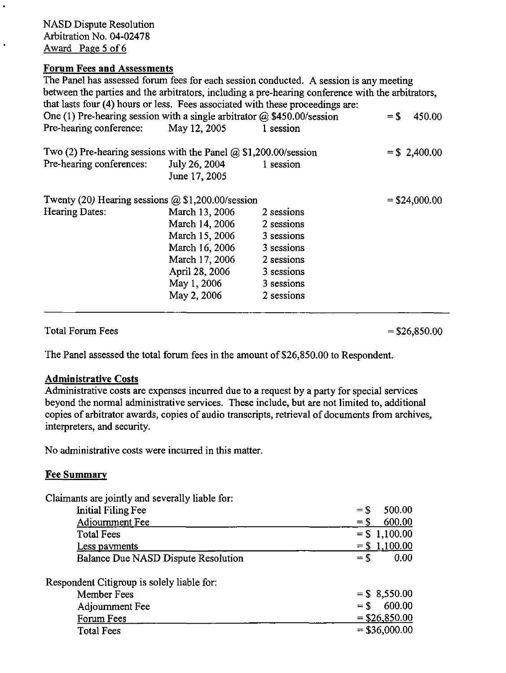NASD Dispute Resolution Arbitration No. 04-02478 Award Page 5 of 6

 $\ddot{\phantom{0}}$ 

### Forum Fees and Assessments

The Panel has assessed forum fees for each session conducted. A session is any meeting between the parties and the arbitrators, including a pre-hearing conference with the arbitrators, that lasts four (4) hours or less. Fees associated with these proceedings are: One (1) Pre-hearing session with a single arbitrator  $\omega$  \$450.00/session = \$ 450.00 Pre-hearing conference: May 12, 2005 1 session Two (2) Pre-hearing sessions with the Panel  $\omega$  \$1,200.00/session = \$ 2,400.00 Pre-hearing conferences: July 26, 2004 1 session June 17, 2005 Twenty (20) Hearing sessions  $\omega$  \$1,200.00/session  $=$  \$24,000.00  $=$  \$24,000.00 Hearing Dates: March 13, 2006 2 sessions March 13, 2006  $2$  sessions March 14, 2006 2 sessions March 15, 2006 3 sessions March 16, 2006 3 sessions March 17, 2006 2 sessions April 28, 2006 3 sessions May 1, 2006 3 sessions May 2, 2006 2 sessions

Total Forum Fees  $= $26,850.00$ 

The Panel assessed the total forum fees in the amount of \$26,850.00 to Respondent.

## Administrative Costs

Administrative costs are expenses incurred due to a request by a party for special services beyond the normal administrative services. These include, but are not limited to, additional copies of arbitrator awards, copies of audio transcripts, retrieval of documents from archives, interpreters, and security.

No administrative costs were incurred in this matter.

#### Fee Summary

Claimants are jointly and severally liable for:

| Initial Filing Fee                         | 500.00<br>$=$ \$ |
|--------------------------------------------|------------------|
| Adjournment Fee                            | 600.00<br>$=$ \$ |
| <b>Total Fees</b>                          | $= $1,100.00$    |
| Less payments                              | $= $1,100.00$    |
| Balance Due NASD Dispute Resolution        | 0.00<br>$=$ \$   |
| Respondent Citigroup is solely liable for: |                  |
| Member Fees                                | $=$ \$ 8,550.00  |
| Adjournment Fee                            | 600.00<br>$=$ \$ |
| Forum Fees                                 | $=$ \$26,850.00  |
| <b>Total Fees</b>                          | $=$ \$36,000.00  |
|                                            |                  |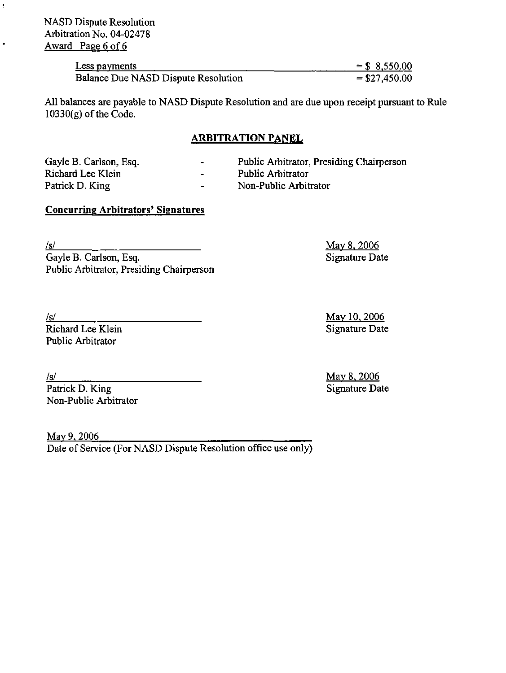NASD Dispute Resolution Arbitration No. 04-02478 Award Page 6 of 6

| Less payments                       | $=$ \$ 8,550.00 |
|-------------------------------------|-----------------|
| Balance Due NASD Dispute Resolution | $= $27,450.00$  |

All balances are payable to NASD Dispute Resolution and are due upon receipt pursuant to Rule  $10330(g)$  of the Code.

## ARBITRATION PANEL

| Gayle B. Carlson, Esq. | $\sim$                   | Public Arbitrator, Presiding Chairperson |
|------------------------|--------------------------|------------------------------------------|
| Richard Lee Klein      | $\overline{\phantom{0}}$ | Public Arbitrator                        |
| Patrick D. King        | $\sim$                   | Non-Public Arbitrator                    |

## Concurring Arbitrators' Signatures

ģ,

 $\bullet$ 

/s/ May 8, 2006 Gayle B. Carlson, Esq. Signature Date Public Arbitrator, Presiding Chairperson

/s/ May 10, 2006 Richard Lee Klein Signature Date Public Arbitrator

Arrick D. King May 8, 2006<br>
Patrick D. King Signature Date  $P$ atrick D. King Non-Public Arbitrator

May 9, 2006 Date of Service (For NASD Dispute Resolution office use only)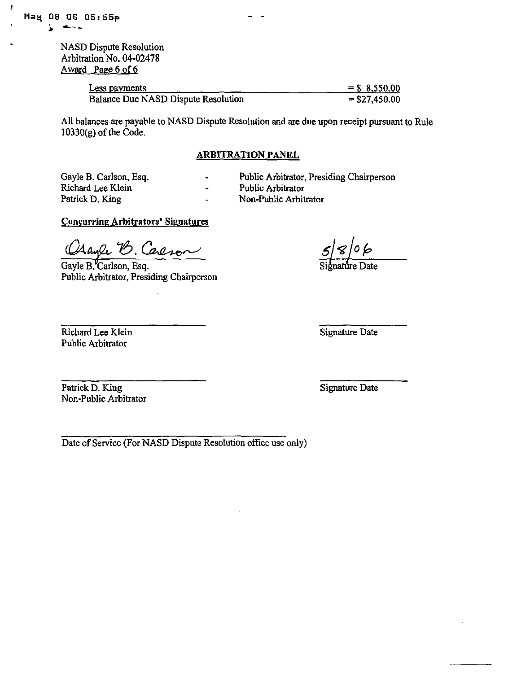$\mathbf{I}$ 

NASD Dispute Resolution Arbitration No. 04-02478 Award Page 6 of 6

| Less payments                       | $=$ \$ 8,550.00 |
|-------------------------------------|-----------------|
| Balance Due NASD Dispute Resolution | $=$ \$27,450.00 |

All balances are payable to NASD Dispute Resolution and are due upon receipt pursuant to Rule  $10330(g)$  of the Code.

#### ARBITRATION PANEL

Richard Lee Klein - Public Arbitrator -

- Gayle B. Carlson, Esq. Public Arbitrator, Presiding Chairperson<br>Richard Lee Klein Public Arbitrator
	-
- Patrick D. King  **Non-Public Arbitrator**

## Concurring Arbitrators' Signatures

Clayle B. Carlson<br>Gayle B. Carlson, Esq. Signature Date Osayle B. Careson

Public Arbitrator, Presiding Chairperson

Richard Lee Klein Signature Date Public Arbitrator

Patrick D. King Signature Date Non-Public Arbitrator

Date of Service (For NASD Dispute Resolution office use only)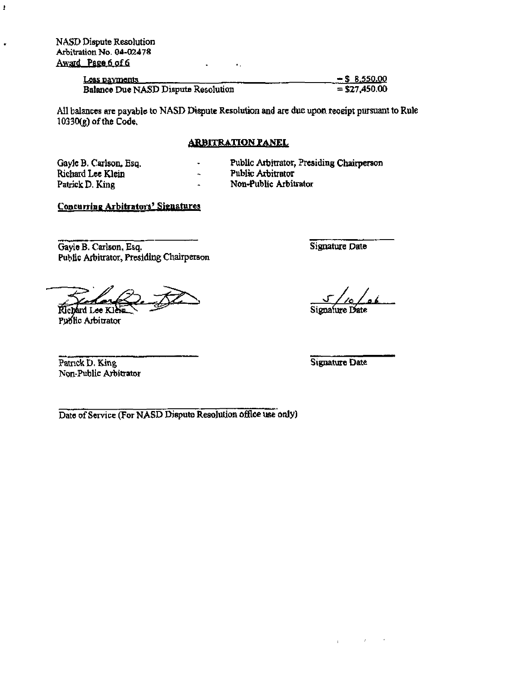NASD Dispute Resolution Arbitration No. 04-02478 Award Page 6 of 6

ł

 $\bullet$ 

| Loss payments                       | $-$ \$ 8.550.00 |
|-------------------------------------|-----------------|
| Balance Due NASD Dispute Resolution | $=$ \$27,450.00 |

 $\sim 100$  km  $^{-1}$ 

 $\sim$ 

All balances arc payable to NASD Dispute Resolution and are due upon receipt pursuant to Rule 10330(e) of the Code,

#### **ARBITRATION PANEL**

Gayle B. Carlson, Esq. Richard Lee Klein Patrick D.King

- Public Arbitrator, Presiding Chairperson
- Public Arbitrator Non-Public Arbitrator
- $\ddot{\phantom{1}}$

 $\ddot{\phantom{1}}$  $\bar{\mathbf{z}}$ 

# Concurring Arbitrators' Signatures

Gayle B. Carlson, Esq. Public Arbitrator, Presiding Chairperson

Richard Lee Klein

Public Arbitrator

Signature Date

Sigoafure Date

Patrick D. King Signature Date Non-Public Arbitrator

Date of Service (For NASD Dispute Resolution office use only)